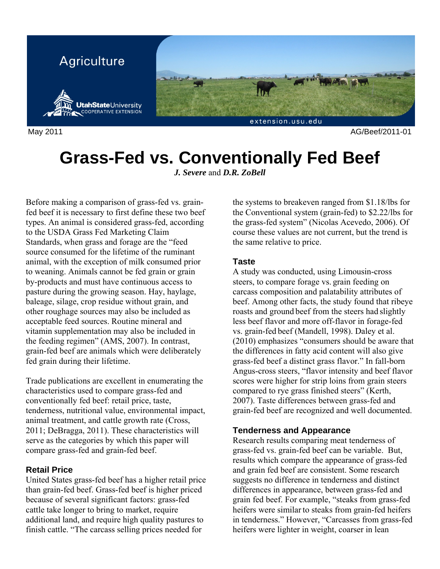

May 2011 AG/Beef/2011-01

# **Grass-Fed vs. Conventionally Fed Beef**

*J. Severe* and *D.R. ZoBell*

Before making a comparison of grass-fed vs. grainfed beef it is necessary to first define these two beef types. An animal is considered grass-fed, according to the USDA Grass Fed Marketing Claim Standards, when grass and forage are the "feed source consumed for the lifetime of the ruminant animal, with the exception of milk consumed prior to weaning. Animals cannot be fed grain or grain by-products and must have continuous access to pasture during the growing season. Hay, haylage, baleage, silage, crop residue without grain, and other roughage sources may also be included as acceptable feed sources. Routine mineral and vitamin supplementation may also be included in the feeding regimen" (AMS, 2007). In contrast, grain-fed beef are animals which were deliberately fed grain during their lifetime.

Trade publications are excellent in enumerating the characteristics used to compare grass-fed and conventionally fed beef: retail price, taste, tenderness, nutritional value, environmental impact, animal treatment, and cattle growth rate (Cross, 2011; DeBragga, 2011). These characteristics will serve as the categories by which this paper will compare grass-fed and grain-fed beef.

# **Retail Price**

United States grass-fed beef has a higher retail price than grain-fed beef. Grass-fed beef is higher priced because of several significant factors: grass-fed cattle take longer to bring to market, require additional land, and require high quality pastures to finish cattle. "The carcass selling prices needed for

the systems to breakeven ranged from \$1.18/lbs for the Conventional system (grain-fed) to \$2.22/lbs for the grass-fed system" (Nicolas Acevedo, 2006). Of course these values are not current, but the trend is the same relative to price.

## **Taste**

A study was conducted, using Limousin-cross steers, to compare forage vs. grain feeding on carcass composition and palatability attributes of beef. Among other facts, the study found that ribeye roasts and ground beef from the steers had slightly less beef flavor and more off-flavor in forage-fed vs. grain-fed beef (Mandell, 1998). Daley et al. (2010) emphasizes "consumers should be aware that the differences in fatty acid content will also give grass-fed beef a distinct grass flavor." In fall-born Angus-cross steers, "flavor intensity and beef flavor scores were higher for strip loins from grain steers compared to rye grass finished steers" (Kerth, 2007). Taste differences between grass-fed and grain-fed beef are recognized and well documented.

# **Tenderness and Appearance**

Research results comparing meat tenderness of grass-fed vs. grain-fed beef can be variable. But, results which compare the appearance of grass-fed and grain fed beef are consistent. Some research suggests no difference in tenderness and distinct differences in appearance, between grass-fed and grain fed beef. For example, "steaks from grass-fed heifers were similar to steaks from grain-fed heifers in tenderness." However, "Carcasses from grass-fed heifers were lighter in weight, coarser in lean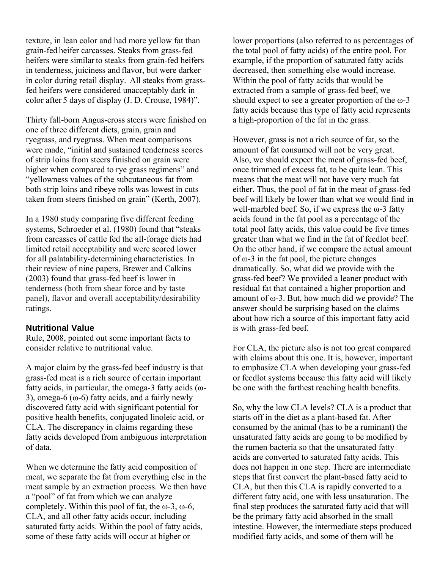texture, in lean color and had more yellow fat than grain-fed heifer carcasses. Steaks from grass-fed heifers were similar to steaks from grain-fed heifers in tenderness, juiciness and flavor, but were darker in color during retail display. All steaks from grassfed heifers were considered unacceptably dark in color after 5 days of display (J. D. Crouse, 1984)".

Thirty fall-born Angus-cross steers were finished on one of three different diets, grain, grain and ryegrass, and ryegrass. When meat comparisons were made, "initial and sustained tenderness scores of strip loins from steers finished on grain were higher when compared to rye grass regimens" and "yellowness values of the subcutaneous fat from both strip loins and ribeye rolls was lowest in cuts taken from steers finished on grain" (Kerth, 2007).

In a 1980 study comparing five different feeding systems, Schroeder et al. (1980) found that "steaks from carcasses of cattle fed the all-forage diets had limited retail acceptability and were scored lower for all palatability-determining characteristics. In their review of nine papers, Brewer and Calkins (2003) found that grass-fed beef is lower in tenderness (both from shear force and by taste panel), flavor and overall acceptability/desirability ratings.

#### **Nutritional Value**

Rule, 2008, pointed out some important facts to consider relative to nutritional value.

A major claim by the grass-fed beef industry is that grass-fed meat is a rich source of certain important fatty acids, in particular, the omega-3 fatty acids ( $\omega$ -3), omega-6 ( $\omega$ -6) fatty acids, and a fairly newly discovered fatty acid with significant potential for positive health benefits, conjugated linoleic acid, or CLA. The discrepancy in claims regarding these fatty acids developed from ambiguous interpretation of data.

When we determine the fatty acid composition of meat, we separate the fat from everything else in the meat sample by an extraction process. We then have a "pool" of fat from which we can analyze completely. Within this pool of fat, the  $\omega$ -3,  $\omega$ -6, CLA, and all other fatty acids occur, including saturated fatty acids. Within the pool of fatty acids, some of these fatty acids will occur at higher or

lower proportions (also referred to as percentages of the total pool of fatty acids) of the entire pool. For example, if the proportion of saturated fatty acids decreased, then something else would increase. Within the pool of fatty acids that would be extracted from a sample of grass-fed beef, we should expect to see a greater proportion of the  $\omega$ -3 fatty acids because this type of fatty acid represents a high-proportion of the fat in the grass.

However, grass is not a rich source of fat, so the amount of fat consumed will not be very great. Also, we should expect the meat of grass-fed beef, once trimmed of excess fat, to be quite lean. This means that the meat will not have very much fat either. Thus, the pool of fat in the meat of grass-fed beef will likely be lower than what we would find in well-marbled beef. So, if we express the  $\omega$ -3 fatty acids found in the fat pool as a percentage of the total pool fatty acids, this value could be five times greater than what we find in the fat of feedlot beef. On the other hand, if we compare the actual amount of ω-3 in the fat pool, the picture changes dramatically. So, what did we provide with the grass-fed beef? We provided a leaner product with residual fat that contained a higher proportion and amount of  $\omega$ -3. But, how much did we provide? The answer should be surprising based on the claims about how rich a source of this important fatty acid is with grass-fed beef.

For CLA, the picture also is not too great compared with claims about this one. It is, however, important to emphasize CLA when developing your grass-fed or feedlot systems because this fatty acid will likely be one with the farthest reaching health benefits.

So, why the low CLA levels? CLA is a product that starts off in the diet as a plant-based fat. After consumed by the animal (has to be a ruminant) the unsaturated fatty acids are going to be modified by the rumen bacteria so that the unsaturated fatty acids are converted to saturated fatty acids. This does not happen in one step. There are intermediate steps that first convert the plant-based fatty acid to CLA, but then this CLA is rapidly converted to a different fatty acid, one with less unsaturation. The final step produces the saturated fatty acid that will be the primary fatty acid absorbed in the small intestine. However, the intermediate steps produced modified fatty acids, and some of them will be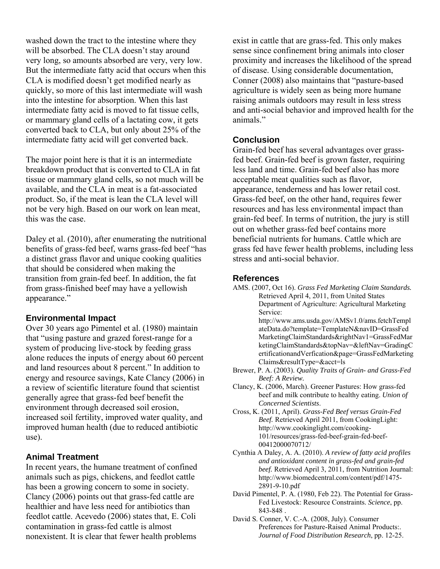washed down the tract to the intestine where they will be absorbed. The CLA doesn't stay around very long, so amounts absorbed are very, very low. But the intermediate fatty acid that occurs when this CLA is modified doesn't get modified nearly as quickly, so more of this last intermediate will wash into the intestine for absorption. When this last intermediate fatty acid is moved to fat tissue cells, or mammary gland cells of a lactating cow, it gets converted back to CLA, but only about 25% of the intermediate fatty acid will get converted back.

The major point here is that it is an intermediate breakdown product that is converted to CLA in fat tissue or mammary gland cells, so not much will be available, and the CLA in meat is a fat-associated product. So, if the meat is lean the CLA level will not be very high. Based on our work on lean meat, this was the case.

Daley et al. (2010), after enumerating the nutritional benefits of grass-fed beef, warns grass-fed beef "has a distinct grass flavor and unique cooking qualities that should be considered when making the transition from grain-fed beef. In addition, the fat from grass-finished beef may have a yellowish appearance."

#### **Environmental Impact**

Over 30 years ago Pimentel et al. (1980) maintain that "using pasture and grazed forest-range for a system of producing live-stock by feeding grass alone reduces the inputs of energy about 60 percent and land resources about 8 percent." In addition to energy and resource savings, Kate Clancy (2006) in a review of scientific literature found that scientist generally agree that grass-fed beef benefit the environment through decreased soil erosion, increased soil fertility, improved water quality, and improved human health (due to reduced antibiotic use).

# **Animal Treatment**

In recent years, the humane treatment of confined animals such as pigs, chickens, and feedlot cattle has been a growing concern to some in society. Clancy (2006) points out that grass-fed cattle are healthier and have less need for antibiotics than feedlot cattle. Acevedo (2006) states that, E. Coli contamination in grass-fed cattle is almost nonexistent. It is clear that fewer health problems

exist in cattle that are grass-fed. This only makes sense since confinement bring animals into closer proximity and increases the likelihood of the spread of disease. Using considerable documentation, Conner (2008) also maintains that "pasture-based agriculture is widely seen as being more humane raising animals outdoors may result in less stress and anti-social behavior and improved health for the animals."

## **Conclusion**

Grain-fed beef has several advantages over grassfed beef. Grain-fed beef is grown faster, requiring less land and time. Grain-fed beef also has more acceptable meat qualities such as flavor, appearance, tenderness and has lower retail cost. Grass-fed beef, on the other hand, requires fewer resources and has less environmental impact than grain-fed beef. In terms of nutrition, the jury is still out on whether grass-fed beef contains more beneficial nutrients for humans. Cattle which are grass fed have fewer health problems, including less stress and anti-social behavior.

## **References**

AMS. (2007, Oct 16). *Grass Fed Marketing Claim Standards.* Retrieved April 4, 2011, from United States Department of Agriculture: Agricultural Marketing Service: http://www.ams.usda.gov/AMSv1.0/ams.fetchTempl

ateData.do?template=TemplateN&navID=GrassFed MarketingClaimStandards&rightNav1=GrassFedMar ketingClaimStandards&topNav=&leftNav=GradingC ertificationandVerfication&page=GrassFedMarketing Claims&resultType=&acct=ls

- Brewer, P. A. (2003). *Quality Traits of Grain- and Grass-Fed Beef: A Review.*
- Clancy, K. (2006, March). Greener Pastures: How grass-fed beef and milk contribute to healthy eating. *Union of Concerned Scientists*.
- Cross, K. (2011, April). *Grass-Fed Beef versus Grain-Fed Beef.* Retrieved April 2011, from CookingLight: http://www.cookinglight.com/cooking-101/resources/grass-fed-beef-grain-fed-beef-00412000070712/
- Cynthia A Daley, A. A. (2010). *A review of fatty acid profiles and antioxidant content in grass-fed and grain-fed beef.* Retrieved April 3, 2011, from Nutrition Journal: http://www.biomedcentral.com/content/pdf/1475- 2891-9-10.pdf
- David Pimentel, P. A. (1980, Feb 22). The Potential for Grass-Fed Livestock: Resource Constraints. *Science*, pp. 843-848 .
- David S. Conner, V. C.-A. (2008, July). Consumer Preferences for Pasture-Raised Animal Products:. *Journal of Food Distribution Research*, pp. 12-25.